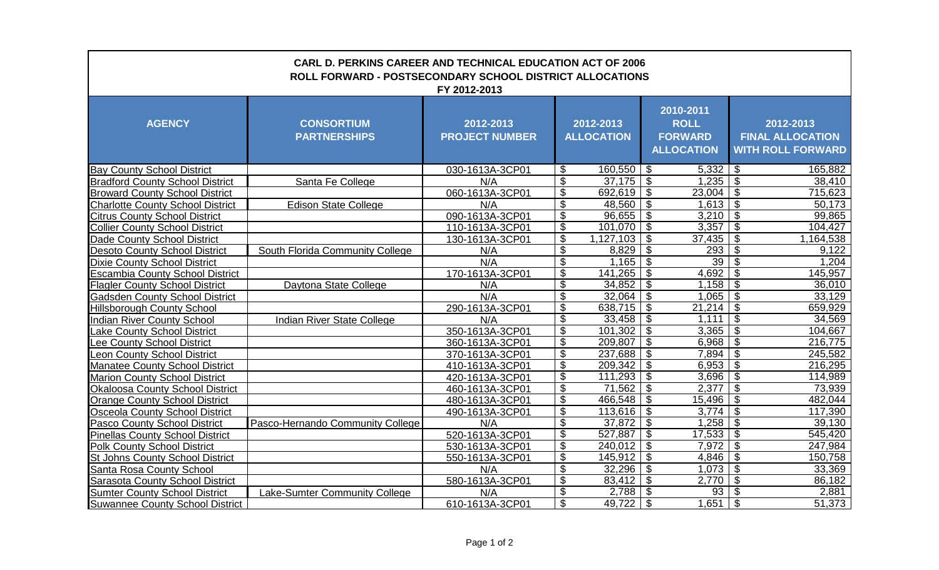| <b>CARL D. PERKINS CAREER AND TECHNICAL EDUCATION ACT OF 2006</b><br><b>ROLL FORWARD - POSTSECONDARY SCHOOL DISTRICT ALLOCATIONS</b><br>FY 2012-2013 |                                          |                                    |                                |                     |                                                                 |                                                                  |  |  |  |  |  |
|------------------------------------------------------------------------------------------------------------------------------------------------------|------------------------------------------|------------------------------------|--------------------------------|---------------------|-----------------------------------------------------------------|------------------------------------------------------------------|--|--|--|--|--|
| <b>AGENCY</b>                                                                                                                                        | <b>CONSORTIUM</b><br><b>PARTNERSHIPS</b> | 2012-2013<br><b>PROJECT NUMBER</b> | 2012-2013<br><b>ALLOCATION</b> |                     | 2010-2011<br><b>ROLL</b><br><b>FORWARD</b><br><b>ALLOCATION</b> | 2012-2013<br><b>FINAL ALLOCATION</b><br><b>WITH ROLL FORWARD</b> |  |  |  |  |  |
| <b>Bay County School District</b>                                                                                                                    |                                          | 030-1613A-3CP01                    | \$                             | 160,550             | \$<br>5,332                                                     | -\$<br>165,882                                                   |  |  |  |  |  |
| <b>Bradford County School District</b>                                                                                                               | Santa Fe College                         | N/A                                | \$                             | 37,175              | $\boldsymbol{\mathsf{S}}$<br>$1,235$   \$                       | 38,410                                                           |  |  |  |  |  |
| <b>Broward County School District</b>                                                                                                                |                                          | 060-1613A-3CP01                    | S)                             | 692,619             | $\overline{\theta}$<br>$23,004$ \$                              | 715,623                                                          |  |  |  |  |  |
| <b>Charlotte County School District</b>                                                                                                              | <b>Edison State College</b>              | N/A                                | $\overline{\mathbf{3}}$        | 48,560              | \$<br>$1,613$ \$                                                | $\overline{50,173}$                                              |  |  |  |  |  |
| <b>Citrus County School District</b>                                                                                                                 |                                          | 090-1613A-3CP01                    | \$                             | 96,655              | S)<br>$3,210$ \$                                                | 99,865                                                           |  |  |  |  |  |
| <b>Collier County School District</b>                                                                                                                |                                          | 110-1613A-3CP01                    | $\overline{\mathbf{G}}$        | 101,070             | $\overline{\mathbf{S}}$<br>3,357                                | \$<br>104,427                                                    |  |  |  |  |  |
| Dade County School District                                                                                                                          |                                          | 130-1613A-3CP01                    | $\overline{\mathcal{S}}$       | 1,127,103           | $\overline{\mathcal{S}}$<br>$37,435$ \$                         | 1,164,538                                                        |  |  |  |  |  |
| <b>Desoto County School District</b>                                                                                                                 | South Florida Community College          | N/A                                | $\boldsymbol{\theta}$          | 8,829               | $\boldsymbol{\mathsf{S}}$<br>293                                | $\mathcal{S}$<br>9,122                                           |  |  |  |  |  |
| <b>Dixie County School District</b>                                                                                                                  |                                          | N/A                                | $\overline{\$}$                | 1,165               | $\boldsymbol{\mathsf{S}}$<br>39                                 | \$<br>1,204                                                      |  |  |  |  |  |
| <b>Escambia County School District</b>                                                                                                               |                                          | 170-1613A-3CP01                    | $\boldsymbol{\theta}$          | 141,265             | \$<br>4,692                                                     | \$<br>145,957                                                    |  |  |  |  |  |
| <b>Flagler County School District</b>                                                                                                                | Daytona State College                    | N/A                                | $\boldsymbol{\mathsf{S}}$      | 34,852              | $\boldsymbol{\mathsf{S}}$<br>1,158                              | $\mathfrak{F}$<br>36,010                                         |  |  |  |  |  |
| <b>Gadsden County School District</b>                                                                                                                |                                          | N/A                                | $\boldsymbol{\theta}$          | 32,064              | $\boldsymbol{\mathsf{S}}$<br>1,065                              | \$<br>33,129                                                     |  |  |  |  |  |
| <b>Hillsborough County School</b>                                                                                                                    |                                          | 290-1613A-3CP01                    | \$                             | 638,715             | $\boldsymbol{\mathsf{S}}$<br>21,214                             | $\boldsymbol{\mathsf{S}}$<br>659,929                             |  |  |  |  |  |
| <b>Indian River County School</b>                                                                                                                    | <b>Indian River State College</b>        | N/A                                | \$                             | 33,458              | $\boldsymbol{\mathsf{S}}$<br>1,111                              | $\boldsymbol{\mathsf{S}}$<br>34,569                              |  |  |  |  |  |
| <b>Lake County School District</b>                                                                                                                   |                                          | 350-1613A-3CP01                    | $\overline{\$}$                | 101,302             | $\sqrt[6]{\frac{1}{2}}$                                         | 104,667                                                          |  |  |  |  |  |
| Lee County School District                                                                                                                           |                                          | 360-1613A-3CP01                    | \$                             | 209,807             | $\mathcal{S}$<br>6,968                                          | $\mathfrak{F}$<br>216,775                                        |  |  |  |  |  |
| <b>Leon County School District</b>                                                                                                                   |                                          | 370-1613A-3CP01                    | $\boldsymbol{\mathsf{S}}$      | 237,688             | $\boldsymbol{\mathsf{S}}$<br>7,894                              | $\mathfrak{S}$<br>245,582                                        |  |  |  |  |  |
| <b>Manatee County School District</b>                                                                                                                |                                          | 410-1613A-3CP01                    | $\boldsymbol{\theta}$          | 209,342             | \$<br>6,953                                                     | \$<br>216,295                                                    |  |  |  |  |  |
| <b>Marion County School District</b>                                                                                                                 |                                          | 420-1613A-3CP01                    | $\overline{\$}$                | 111,293             | $\boldsymbol{\theta}$                                           | 114,989                                                          |  |  |  |  |  |
| <b>Okaloosa County School District</b>                                                                                                               |                                          | 460-1613A-3CP01                    | \$                             | 71,562              | $\overline{\$}$<br>2,377                                        | $\overline{\$}$<br>73,939                                        |  |  |  |  |  |
| <b>Orange County School District</b>                                                                                                                 |                                          | 480-1613A-3CP01                    | $\overline{\$}$                | 466,548             | $\overline{\$}$<br>15,496                                       | \$<br>482,044                                                    |  |  |  |  |  |
| <b>Osceola County School District</b>                                                                                                                |                                          | 490-1613A-3CP01                    | $\overline{\$}$                | 113,616             | $\overline{\$}$<br>3,774                                        | $\overline{\mathcal{S}}$<br>117,390                              |  |  |  |  |  |
| <b>Pasco County School District</b>                                                                                                                  | Pasco-Hernando Community College         | N/A                                | $\overline{\$}$                | 37,872              | $\overline{\$}$                                                 | 39,130                                                           |  |  |  |  |  |
| <b>Pinellas County School District</b>                                                                                                               |                                          | 520-1613A-3CP01                    | $\overline{\$}$                | 527,887             | $\overline{\$}$<br>17,533                                       | \$<br>545,420                                                    |  |  |  |  |  |
| <b>Polk County School District</b>                                                                                                                   |                                          | 530-1613A-3CP01                    | $\boldsymbol{\theta}$          | 240,012             | $\boldsymbol{\mathsf{S}}$<br>7,972                              | \$<br>247,984                                                    |  |  |  |  |  |
| <b>St Johns County School District</b>                                                                                                               |                                          | 550-1613A-3CP01                    | \$                             | 145,912             | \$<br>4,846                                                     | \$<br>150,758                                                    |  |  |  |  |  |
| <b>Santa Rosa County School</b>                                                                                                                      |                                          | N/A                                | $\overline{\mathcal{S}}$       | 32,296              | $\boldsymbol{\theta}$<br>$1,073$ \$                             | 33,369                                                           |  |  |  |  |  |
| <b>Sarasota County School District</b>                                                                                                               |                                          | 580-1613A-3CP01                    | \$                             | $\overline{83,412}$ | $\boldsymbol{\theta}$<br>2,770                                  | $\overline{\mathcal{S}}$<br>86,182                               |  |  |  |  |  |
| <b>Sumter County School District</b>                                                                                                                 | Lake-Sumter Community College            | N/A                                | \$                             | 2,788               | $\boldsymbol{\mathsf{S}}$<br>93                                 | \$<br>2,881                                                      |  |  |  |  |  |
| <b>Suwannee County School District</b>                                                                                                               |                                          | 610-1613A-3CP01                    | $\overline{\$}$                | 49,722              | $\boldsymbol{\mathsf{S}}$<br>1,651                              | $\boldsymbol{\mathsf{S}}$<br>51,373                              |  |  |  |  |  |